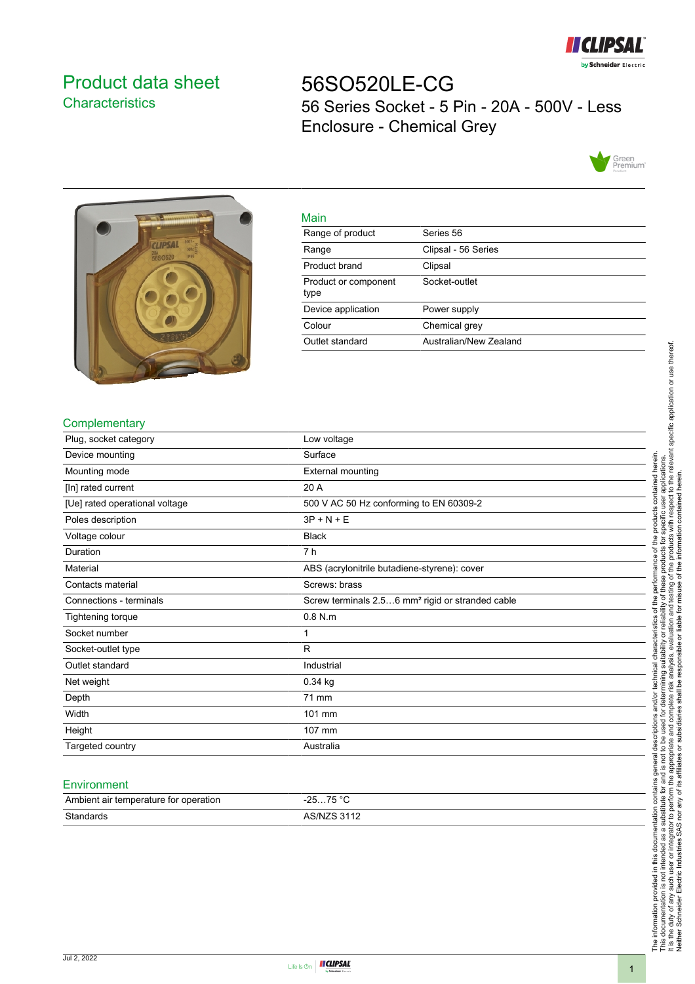

# <span id="page-0-0"></span>Product data sheet **Characteristics**

56SO520LE-CG 56 Series Socket - 5 Pin - 20A - 500V - Less Enclosure - Chemical Grey





| Main                         |                        |
|------------------------------|------------------------|
| Range of product             | Series 56              |
| Range                        | Clipsal - 56 Series    |
| Product brand                | Clipsal                |
| Product or component<br>type | Socket-outlet          |
| Device application           | Power supply           |
| Colour                       | Chemical grey          |
| Outlet standard              | Australian/New Zealand |

## **Complementary**

| Plug, socket category          | Low voltage                                                  |
|--------------------------------|--------------------------------------------------------------|
| Device mounting                | Surface                                                      |
| Mounting mode                  | <b>External mounting</b>                                     |
| [In] rated current             | 20 A                                                         |
| [Ue] rated operational voltage | 500 V AC 50 Hz conforming to EN 60309-2                      |
| Poles description              | $3P + N + E$                                                 |
| Voltage colour                 | <b>Black</b>                                                 |
| Duration                       | 7 h                                                          |
| Material                       | ABS (acrylonitrile butadiene-styrene): cover                 |
| Contacts material              | Screws: brass                                                |
| Connections - terminals        | Screw terminals 2.56 mm <sup>2</sup> rigid or stranded cable |
| Tightening torque              | $0.8$ N.m                                                    |
| Socket number                  | 1                                                            |
| Socket-outlet type             | R                                                            |
| Outlet standard                | Industrial                                                   |
| Net weight                     | $0.34$ kg                                                    |
| Depth                          | 71 mm                                                        |
| Width                          | 101 mm                                                       |
| Height                         | 107 mm                                                       |
| Targeted country               | Australia                                                    |

#### **Environment**

| Ambient air temperature for operation | 75 °C<br>った<br>،-  |
|---------------------------------------|--------------------|
| Standards                             | <b>AS/NZS 3112</b> |